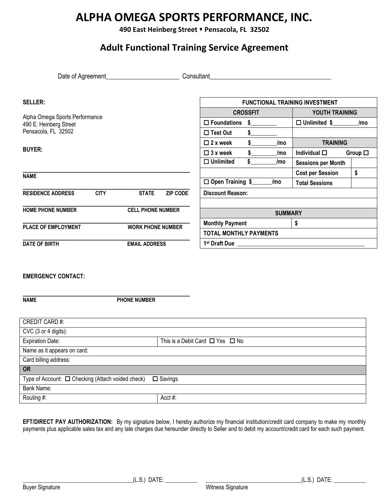# **ALPHA OMEGA SPORTS PERFORMANCE, INC.**

**490 East Heinberg Street** ⬧ **Pensacola, FL 32502**

# **Adult Functional Training Service Agreement**

Date of Agreement\_\_\_\_\_\_\_\_\_\_\_\_\_\_\_\_\_\_\_\_\_\_\_ Consultant\_\_\_\_\_\_\_\_\_\_\_\_\_\_\_\_\_\_\_\_\_\_\_\_\_\_\_\_\_\_\_\_\_\_\_\_\_\_

| <b>SELLER:</b>                          |                          |                               | <b>FUNCTIONAL TRAINING INVESTMENT</b> |                      |                           |     |
|-----------------------------------------|--------------------------|-------------------------------|---------------------------------------|----------------------|---------------------------|-----|
| Alpha Omega Sports Performance          |                          | <b>CROSSFIT</b>               |                                       | YOUTH TRAINING       |                           |     |
| 490 E. Heinberg Street                  |                          |                               | $\square$ Foundations                 | S                    | $\Box$ Unlimited \$       | /mo |
| Pensacola, FL 32502                     |                          |                               | $\Box$ Test Out                       | \$                   |                           |     |
|                                         |                          |                               | $\Box$ 2 x week                       | S.<br>/mo            | <b>TRAINING</b>           |     |
| <b>BUYER:</b>                           |                          | $\Box$ 3 x week               | /mo                                   | Individual $\square$ | Group $\square$           |     |
|                                         |                          |                               | $\Box$ Unlimited                      | /mo                  | <b>Sessions per Month</b> |     |
| <b>NAME</b>                             |                          |                               |                                       |                      | <b>Cost per Session</b>   | \$  |
|                                         |                          |                               | □ Open Training \$                    | /mo                  | <b>Total Sessions</b>     |     |
| <b>RESIDENCE ADDRESS</b><br><b>CITY</b> | <b>STATE</b>             | <b>ZIP CODE</b>               | <b>Discount Reason:</b>               |                      |                           |     |
|                                         |                          |                               |                                       |                      |                           |     |
| <b>HOME PHONE NUMBER</b>                | <b>CELL PHONE NUMBER</b> |                               | <b>SUMMARY</b>                        |                      |                           |     |
| PLACE OF EMPLOYMENT                     | <b>WORK PHONE NUMBER</b> |                               | <b>Monthly Payment</b>                |                      | \$                        |     |
|                                         |                          | <b>TOTAL MONTHLY PAYMENTS</b> |                                       |                      |                           |     |
| <b>DATE OF BIRTH</b>                    | <b>EMAIL ADDRESS</b>     |                               | 1 <sup>st</sup> Draft Due             |                      |                           |     |

#### **EMERGENCY CONTACT:**

**\_\_\_\_\_\_\_\_\_\_\_\_\_\_\_\_\_\_\_\_\_\_\_\_\_\_\_\_\_\_\_\_\_\_\_\_\_\_\_\_\_\_\_\_\_\_\_\_\_\_\_\_\_\_\_\_\_\_\_\_\_\_\_\_ NAME PHONE NUMBER**

| <b>CREDIT CARD#:</b>                                   |                                           |
|--------------------------------------------------------|-------------------------------------------|
| $CVC$ (3 or 4 digits):                                 |                                           |
| <b>Expiration Date:</b>                                | This is a Debit Card $\Box$ Yes $\Box$ No |
| Name as it appears on card:                            |                                           |
| Card billing address:                                  |                                           |
| <b>OR</b>                                              |                                           |
| Type of Account: $\Box$ Checking (Attach voided check) | $\square$ Savings                         |
| Bank Name:                                             |                                           |
| Routing #:                                             | Acct #:                                   |

**EFT/DIRECT PAY AUTHORIZATION:** By my signature below, I hereby authorize my financial institution/credit card company to make my monthly payments plus applicable sales tax and any late charges due hereunder directly to Seller and to debit my account/credit card for each such payment.